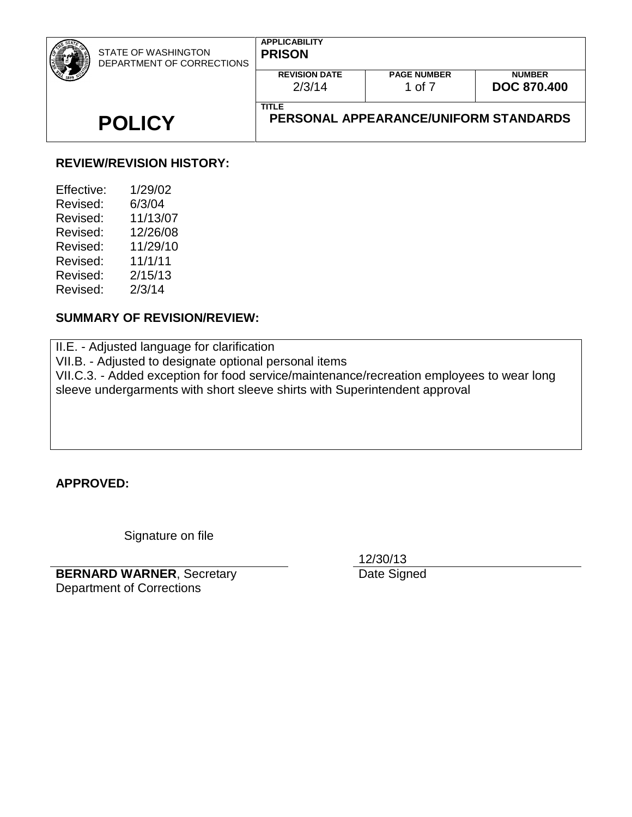| <b>STATE OF WASHINGTON</b><br>DEPARTMENT OF CORRECTIONS | <b>APPLICABILITY</b><br><b>PRISON</b> |                                       |                                     |
|---------------------------------------------------------|---------------------------------------|---------------------------------------|-------------------------------------|
|                                                         | <b>REVISION DATE</b><br>2/3/14        | <b>PAGE NUMBER</b><br>1 of 7          | <b>NUMBER</b><br><b>DOC 870,400</b> |
| <b>POLICY</b>                                           | <b>TITLE</b>                          | PERSONAL APPEARANCE/UNIFORM STANDARDS |                                     |

### **REVIEW/REVISION HISTORY:**

| 1/29/02  |
|----------|
| 6/3/04   |
| 11/13/07 |
| 12/26/08 |
| 11/29/10 |
| 11/1/11  |
| 2/15/13  |
| 2/3/14   |
|          |

#### **SUMMARY OF REVISION/REVIEW:**

II.E. - Adjusted language for clarification VII.B. - Adjusted to designate optional personal items VII.C.3. - Added exception for food service/maintenance/recreation employees to wear long sleeve undergarments with short sleeve shirts with Superintendent approval

**APPROVED:**

Signature on file

**BERNARD WARNER**, Secretary Department of Corrections

12/30/13

Date Signed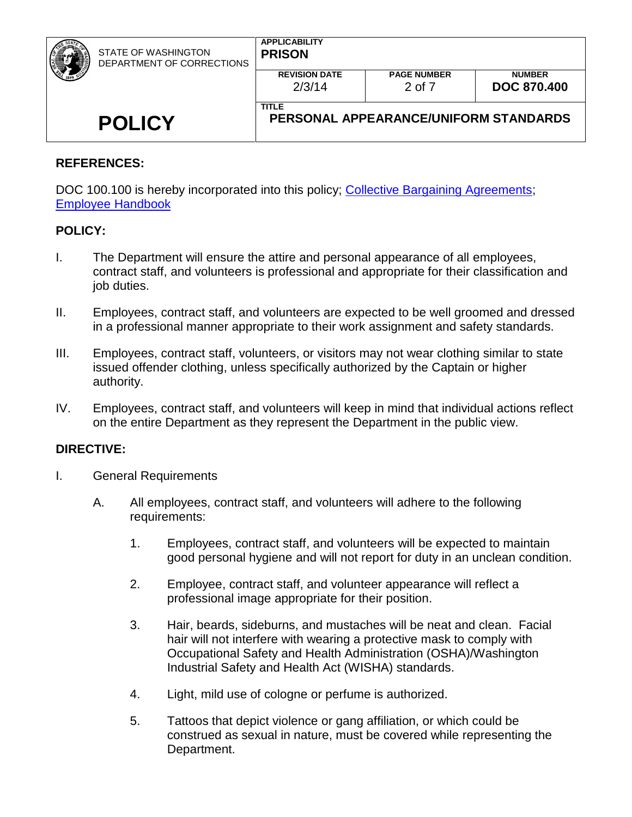| <b>STATE OF WASHINGTON</b><br>DEPARTMENT OF CORRECTIONS | <b>APPLICABILITY</b><br><b>PRISON</b>                 |                              |                                     |
|---------------------------------------------------------|-------------------------------------------------------|------------------------------|-------------------------------------|
|                                                         | <b>REVISION DATE</b><br>2/3/14                        | <b>PAGE NUMBER</b><br>2 of 7 | <b>NUMBER</b><br><b>DOC 870.400</b> |
| <b>POLICY</b>                                           | <b>TITLE</b><br>PERSONAL APPEARANCE/UNIFORM STANDARDS |                              |                                     |

### **REFERENCES:**

DOC 100.100 is hereby incorporated into this policy; [Collective Bargaining Agreements;](https://www.ofm.wa.gov/state-human-resources/labor-relations/collective-bargaining-agreements) Employee [Handbook](http://insidedoc/communications/docs/publications/EmployeeHandbook.pdf)

### **POLICY:**

- I. The Department will ensure the attire and personal appearance of all employees, contract staff, and volunteers is professional and appropriate for their classification and job duties.
- II. Employees, contract staff, and volunteers are expected to be well groomed and dressed in a professional manner appropriate to their work assignment and safety standards.
- III. Employees, contract staff, volunteers, or visitors may not wear clothing similar to state issued offender clothing, unless specifically authorized by the Captain or higher authority.
- IV. Employees, contract staff, and volunteers will keep in mind that individual actions reflect on the entire Department as they represent the Department in the public view.

### **DIRECTIVE:**

- I. General Requirements
	- A. All employees, contract staff, and volunteers will adhere to the following requirements:
		- 1. Employees, contract staff, and volunteers will be expected to maintain good personal hygiene and will not report for duty in an unclean condition.
		- 2. Employee, contract staff, and volunteer appearance will reflect a professional image appropriate for their position.
		- 3. Hair, beards, sideburns, and mustaches will be neat and clean. Facial hair will not interfere with wearing a protective mask to comply with Occupational Safety and Health Administration (OSHA)/Washington Industrial Safety and Health Act (WISHA) standards.
		- 4. Light, mild use of cologne or perfume is authorized.
		- 5. Tattoos that depict violence or gang affiliation, or which could be construed as sexual in nature, must be covered while representing the Department.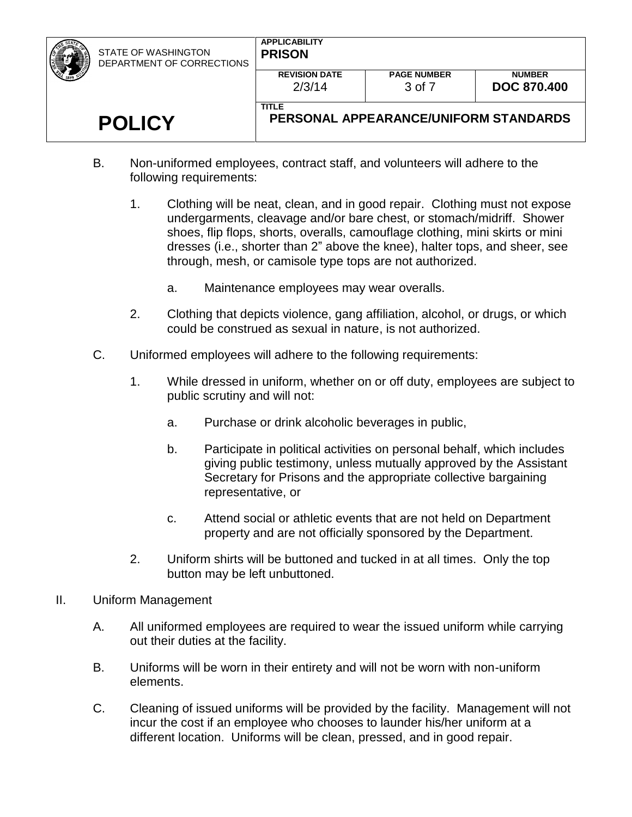| <b>PA</b><br><i>■</i> | STATE OF WASHINGTON<br>DEPARTMENT OF CORRECTIONS | <b>APPLICABILITY</b><br><b>PRISON</b>                 |                              |                                     |
|-----------------------|--------------------------------------------------|-------------------------------------------------------|------------------------------|-------------------------------------|
|                       |                                                  | <b>REVISION DATE</b><br>2/3/14                        | <b>PAGE NUMBER</b><br>3 of 7 | <b>NUMBER</b><br><b>DOC 870.400</b> |
|                       | <b>POLICY</b>                                    | <b>TITLE</b><br>PERSONAL APPEARANCE/UNIFORM STANDARDS |                              |                                     |

- B. Non-uniformed employees, contract staff, and volunteers will adhere to the following requirements:
	- 1. Clothing will be neat, clean, and in good repair. Clothing must not expose undergarments, cleavage and/or bare chest, or stomach/midriff. Shower shoes, flip flops, shorts, overalls, camouflage clothing, mini skirts or mini dresses (i.e., shorter than 2" above the knee), halter tops, and sheer, see through, mesh, or camisole type tops are not authorized.
		- a. Maintenance employees may wear overalls.
	- 2. Clothing that depicts violence, gang affiliation, alcohol, or drugs, or which could be construed as sexual in nature, is not authorized.
- C. Uniformed employees will adhere to the following requirements:
	- 1. While dressed in uniform, whether on or off duty, employees are subject to public scrutiny and will not:
		- a. Purchase or drink alcoholic beverages in public,
		- b. Participate in political activities on personal behalf, which includes giving public testimony, unless mutually approved by the Assistant Secretary for Prisons and the appropriate collective bargaining representative, or
		- c. Attend social or athletic events that are not held on Department property and are not officially sponsored by the Department.
	- 2. Uniform shirts will be buttoned and tucked in at all times. Only the top button may be left unbuttoned.
- II. Uniform Management
	- A. All uniformed employees are required to wear the issued uniform while carrying out their duties at the facility.
	- B. Uniforms will be worn in their entirety and will not be worn with non-uniform elements.
	- C. Cleaning of issued uniforms will be provided by the facility. Management will not incur the cost if an employee who chooses to launder his/her uniform at a different location. Uniforms will be clean, pressed, and in good repair.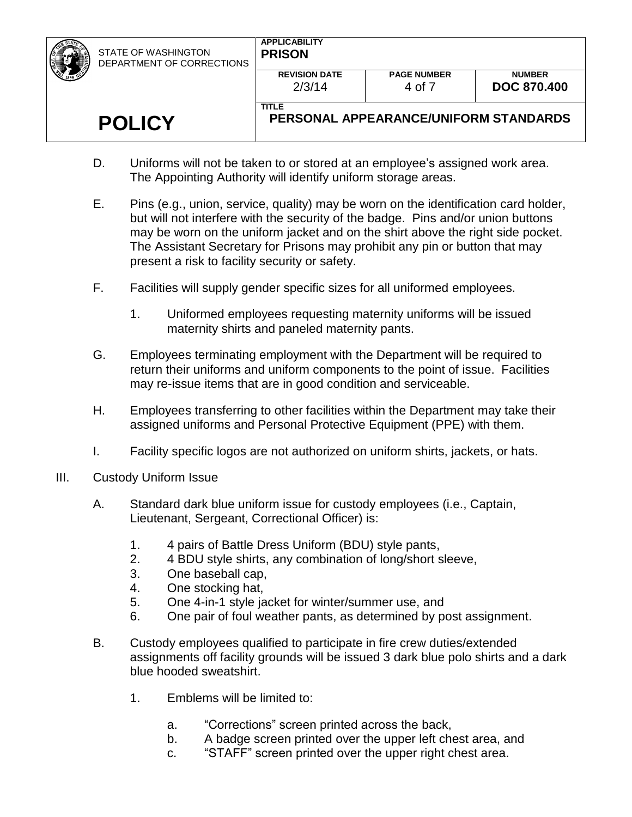| ż | STATE OF WASHINGTON<br>DEPARTMENT OF CORRECTIONS | <b>APPLICABILITY</b><br><b>PRISON</b> |                                       |                                     |
|---|--------------------------------------------------|---------------------------------------|---------------------------------------|-------------------------------------|
|   |                                                  | <b>REVISION DATE</b><br>2/3/14        | <b>PAGE NUMBER</b><br>4 of 7          | <b>NUMBER</b><br><b>DOC 870,400</b> |
|   | <b>POLICY</b>                                    | <b>TITLE</b>                          | PERSONAL APPEARANCE/UNIFORM STANDARDS |                                     |

- D. Uniforms will not be taken to or stored at an employee's assigned work area. The Appointing Authority will identify uniform storage areas.
- E. Pins (e.g., union, service, quality) may be worn on the identification card holder, but will not interfere with the security of the badge. Pins and/or union buttons may be worn on the uniform jacket and on the shirt above the right side pocket. The Assistant Secretary for Prisons may prohibit any pin or button that may present a risk to facility security or safety.
- F. Facilities will supply gender specific sizes for all uniformed employees.
	- 1. Uniformed employees requesting maternity uniforms will be issued maternity shirts and paneled maternity pants.
- G. Employees terminating employment with the Department will be required to return their uniforms and uniform components to the point of issue. Facilities may re-issue items that are in good condition and serviceable.
- H. Employees transferring to other facilities within the Department may take their assigned uniforms and Personal Protective Equipment (PPE) with them.
- I. Facility specific logos are not authorized on uniform shirts, jackets, or hats.
- III. Custody Uniform Issue
	- A. Standard dark blue uniform issue for custody employees (i.e., Captain, Lieutenant, Sergeant, Correctional Officer) is:
		- 1. 4 pairs of Battle Dress Uniform (BDU) style pants,
		- 2. 4 BDU style shirts, any combination of long/short sleeve,
		- 3. One baseball cap,
		- 4. One stocking hat,
		- 5. One 4-in-1 style jacket for winter/summer use, and
		- 6. One pair of foul weather pants, as determined by post assignment.
	- B. Custody employees qualified to participate in fire crew duties/extended assignments off facility grounds will be issued 3 dark blue polo shirts and a dark blue hooded sweatshirt.
		- 1. Emblems will be limited to:
			- a. "Corrections" screen printed across the back,
			- b. A badge screen printed over the upper left chest area, and
			- c. "STAFF" screen printed over the upper right chest area.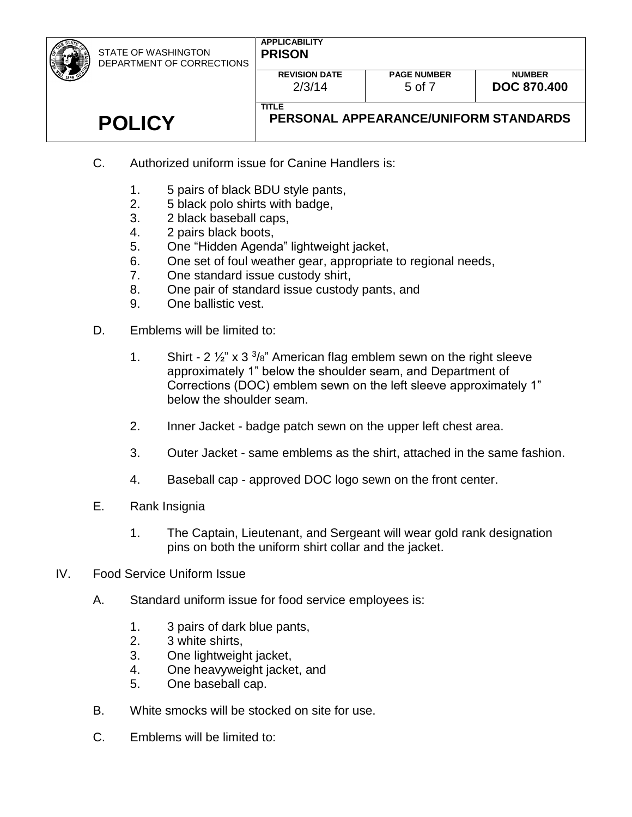| STATE OF WASHINGTON<br>DEPARTMENT OF CORRECTIONS | <b>APPLICABILITY</b><br><b>PRISON</b>                 |                    |                    |
|--------------------------------------------------|-------------------------------------------------------|--------------------|--------------------|
|                                                  | <b>REVISION DATE</b>                                  | <b>PAGE NUMBER</b> | <b>NUMBER</b>      |
|                                                  | 2/3/14                                                | 5 of 7             | <b>DOC 870.400</b> |
| <b>POLICY</b>                                    | <b>TITLE</b><br>PERSONAL APPEARANCE/UNIFORM STANDARDS |                    |                    |
|                                                  |                                                       |                    |                    |

- C. Authorized uniform issue for Canine Handlers is:
	- 1. 5 pairs of black BDU style pants,
	- 2. 5 black polo shirts with badge,
	- 3. 2 black baseball caps,
	- 4. 2 pairs black boots,
	- 5. One "Hidden Agenda" lightweight jacket,
	- 6. One set of foul weather gear, appropriate to regional needs,
	- 7. One standard issue custody shirt,
	- 8. One pair of standard issue custody pants, and
	- 9. One ballistic vest.
- D. Emblems will be limited to:
	- 1. Shirt  $2\frac{1}{2}$ " x 3 $\frac{3}{8}$ " American flag emblem sewn on the right sleeve approximately 1" below the shoulder seam, and Department of Corrections (DOC) emblem sewn on the left sleeve approximately 1" below the shoulder seam.
	- 2. Inner Jacket badge patch sewn on the upper left chest area.
	- 3. Outer Jacket same emblems as the shirt, attached in the same fashion.
	- 4. Baseball cap approved DOC logo sewn on the front center.
- E. Rank Insignia
	- 1. The Captain, Lieutenant, and Sergeant will wear gold rank designation pins on both the uniform shirt collar and the jacket.
- IV. Food Service Uniform Issue
	- A. Standard uniform issue for food service employees is:
		- 1. 3 pairs of dark blue pants,
		- 2. 3 white shirts,
		- 3. One lightweight jacket,
		- 4. One heavyweight jacket, and
		- 5. One baseball cap.
	- B. White smocks will be stocked on site for use.
	- C. Emblems will be limited to: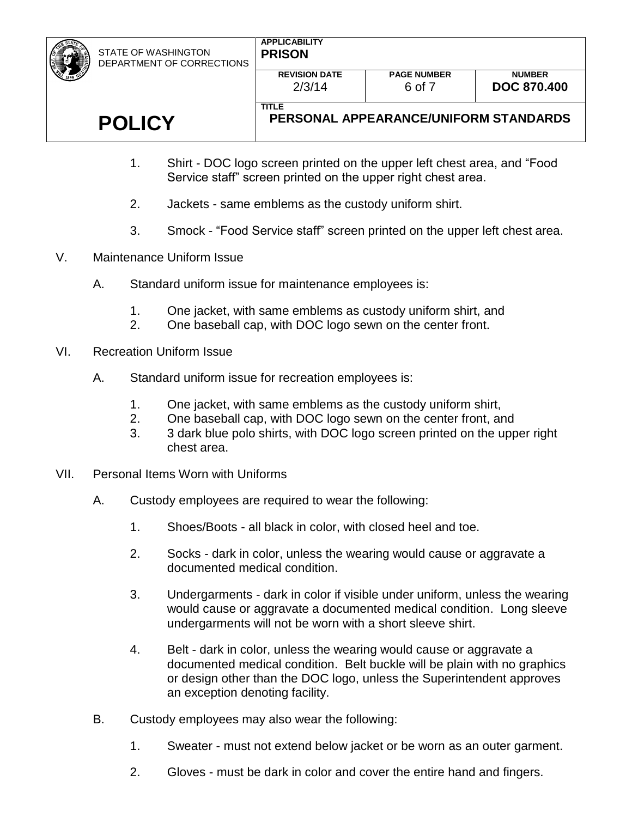STATE OF WASHINGTON DEPARTMENT OF CORRECTIONS

**TITLE**

2/3/14

## **POLICY**

- 1. Shirt DOC logo screen printed on the upper left chest area, and "Food Service staff" screen printed on the upper right chest area.
- 2. Jackets same emblems as the custody uniform shirt.
- 3. Smock "Food Service staff" screen printed on the upper left chest area.
- V. Maintenance Uniform Issue
	- A. Standard uniform issue for maintenance employees is:
		- 1. One jacket, with same emblems as custody uniform shirt, and
		- 2. One baseball cap, with DOC logo sewn on the center front.
- VI. Recreation Uniform Issue
	- A. Standard uniform issue for recreation employees is:
		- 1. One jacket, with same emblems as the custody uniform shirt,
		- 2. One baseball cap, with DOC logo sewn on the center front, and
		- 3. 3 dark blue polo shirts, with DOC logo screen printed on the upper right chest area.
- VII. Personal Items Worn with Uniforms
	- A. Custody employees are required to wear the following:
		- 1. Shoes/Boots all black in color, with closed heel and toe.
		- 2. Socks dark in color, unless the wearing would cause or aggravate a documented medical condition.
		- 3. Undergarments dark in color if visible under uniform, unless the wearing would cause or aggravate a documented medical condition. Long sleeve undergarments will not be worn with a short sleeve shirt.
		- 4. Belt dark in color, unless the wearing would cause or aggravate a documented medical condition. Belt buckle will be plain with no graphics or design other than the DOC logo, unless the Superintendent approves an exception denoting facility.
	- B. Custody employees may also wear the following:
		- 1. Sweater must not extend below jacket or be worn as an outer garment.
		- 2. Gloves must be dark in color and cover the entire hand and fingers.